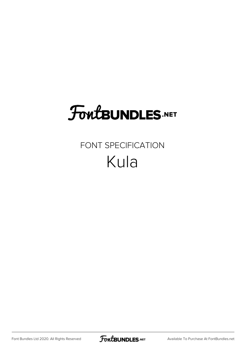# **FoutBUNDLES.NET**

## FONT SPECIFICATION Kula

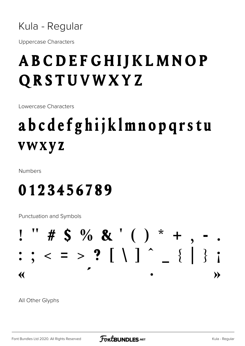Kula - Regular

**Uppercase Characters** 

## **ABCDEFGHIJKLMNOP** QRSTUVWXYZ

Lowercase Characters

## abcdefghijklmnopqrstu **vwxyz**

Numbers

## 0123456789

Punctuation and Symbols

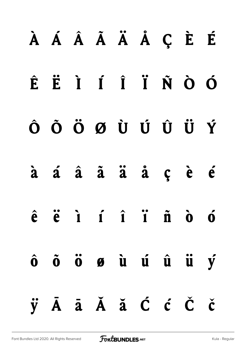# **À Á Â Ã Ä Å Ç È É Ê Ë Ì Í Î Ï Ñ Ò Ó Ô Õ Ö Ø Ù Ú Û Ü Ý à á â ã ä å ç è é ê ë ì í î ï ñ ò ó ô õ ö ø ù ú û ü ý ÿ Ā ā Ă ă Ć ć Č č**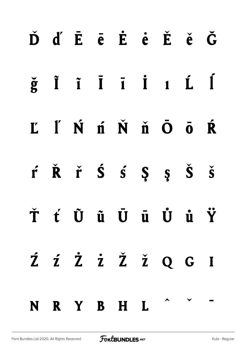|  |  |             | ĎďĒēĖėĚěĞ                                                                                                                                                                                                         |  |
|--|--|-------------|-------------------------------------------------------------------------------------------------------------------------------------------------------------------------------------------------------------------|--|
|  |  |             | $\check{g}$ $\check{I}$ $\check{I}$ $\check{I}$ $\check{I}$ $\check{I}$ $\check{L}$ $\check{I}$                                                                                                                   |  |
|  |  |             | L'INÍÑ ň Ŏ Ō Ŕ                                                                                                                                                                                                    |  |
|  |  |             | $\acute{\mathbf{r}}$ $\acute{\mathbf{R}}$ $\acute{\mathbf{r}}$ $\acute{\mathbf{S}}$ $\acute{\mathbf{S}}$ $\acute{\mathbf{S}}$ $\acute{\mathbf{S}}$ $\acute{\mathbf{S}}$ $\acute{\mathbf{S}}$ $\acute{\mathbf{S}}$ |  |
|  |  |             | Ť ť Ũ ũ Ū ū Ů ů Ÿ                                                                                                                                                                                                 |  |
|  |  |             | Ź ź Ż Ż Ž Ž Q G I                                                                                                                                                                                                 |  |
|  |  | N R Y B H L |                                                                                                                                                                                                                   |  |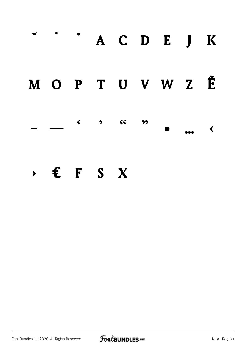## $\bullet$ A C D E J K M O P T U V W Z Ě  $G$  $\bullet$  $\zeta$  $\bullet$  $\blacktriangleleft$  $\times$   $\epsilon$  F S X

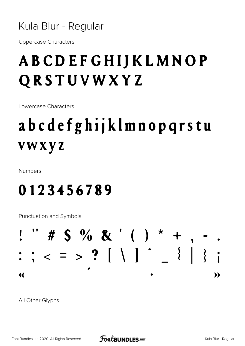### Kula Blur - Regular

**Uppercase Characters** 

## **ABCDEFGHIJKLMNOP** QRSTUVWXYZ

Lowercase Characters

## abcdefghijklmnopqrstu **vwxyz**

**Numbers** 

## 0123456789

Punctuation and Symbols

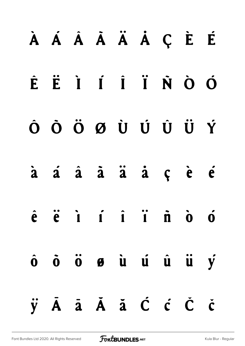# **À Á Â Ã Ä Å Ç È É Ê Ë Ì Í Î Ï Ñ Ò Ó Ô Õ Ö Ø Ù Ú Û Ü Ý à á â ã ä å ç è é ê ë ì í î ï ñ ò ó ô õ ö ø ù ú û ü ý ÿ Ā ā Ă ă Ć ć Č č**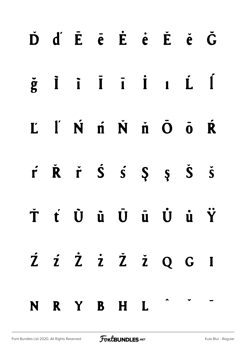|  |  |             | ĎďĒēĖėĚěĞ                                                                       |  |
|--|--|-------------|---------------------------------------------------------------------------------|--|
|  |  |             |                                                                                 |  |
|  |  |             | L I N n N n O o R                                                               |  |
|  |  |             | $\dot{r}$ $\dot{R}$ $\dot{r}$ $\dot{S}$ $\dot{s}$ $\dot{S}$ $\dot{S}$ $\dot{S}$ |  |
|  |  |             | Ť ť Ù ù Ū ū Ù ù Ÿ                                                               |  |
|  |  |             | Z z z z ž z Q G I                                                               |  |
|  |  | N R Y B H L |                                                                                 |  |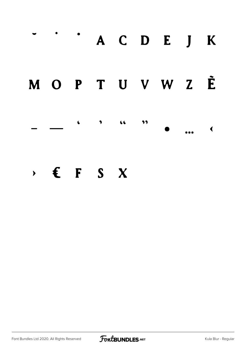

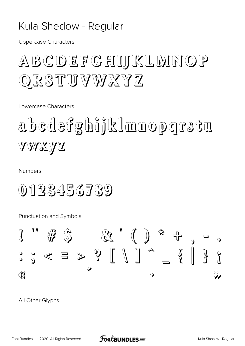## Kula Shedow - Regular

**Uppercase Characters** 

## ABCDEFGHIJKLMNOP QRSTUVWXYZ

Lowercase Characters

# abcdefghijklmnopgrstu VWXYZ

**Numbers** 

0123456789

Punctuation and Symbols

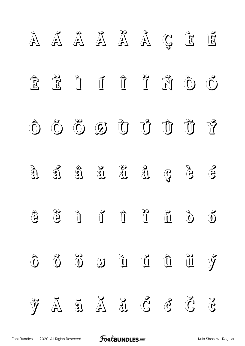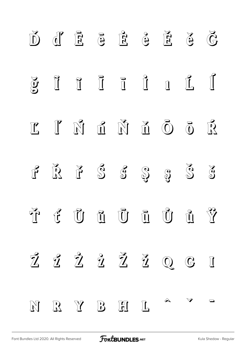|  |  | $\overrightarrow{D}$ $\overrightarrow{E}$ $\overrightarrow{E}$ $\overrightarrow{E}$ $\overrightarrow{E}$ $\overrightarrow{E}$ $\overrightarrow{E}$ $\overrightarrow{G}$ |  |  |
|--|--|-------------------------------------------------------------------------------------------------------------------------------------------------------------------------|--|--|
|  |  | $\S$ iii ii iii                                                                                                                                                         |  |  |
|  |  | $\begin{array}{ccccccccccccc} \mathbb{C} & \mathbb{I} & \mathbb{N} & \mathbb{C} & \mathbb{N} & \mathbb{N} & \mathbb{C} & \mathbb{C} & \mathbb{C} \end{array}$           |  |  |
|  |  | $\mathbb{F}$ $\mathbb{R}$ $\mathbb{F}$ $\mathbb{S}$ $\mathbb{S}$ $\mathbb{S}$ $\mathbb{S}$ $\mathbb{S}$ $\mathbb{S}$                                                    |  |  |
|  |  | řú Čũ Čũ Ū Čũ Ŷ                                                                                                                                                         |  |  |
|  |  | $\tilde{Z}$ $\tilde{Z}$ $\tilde{Z}$ $\tilde{Z}$ $\tilde{Z}$ $\tilde{Q}$ $G$ I                                                                                           |  |  |
|  |  | NRYBHI                                                                                                                                                                  |  |  |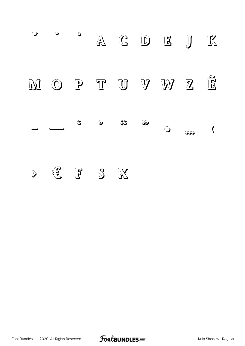$\blacktriangledown$  $\bullet$  $\odot$ A C D E J K  $\widetilde{\mathbf{E}}$ MO P TUVWZ  $\infty$  $\sum_{i=1}^{n} a_i$  $\Im$  $\mathcal{S}$  $\bigcirc$  $\mathcal{A}$  $\infty$  $\mathbf{E}$  $F S X$  $\sum_{i=1}^{n} a_i$ 

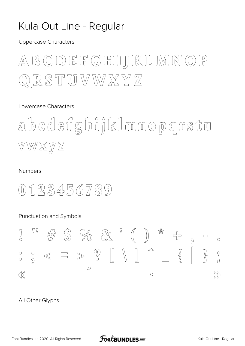## Kula Out Line - Regular

**Uppercase Characters** 

## ABCDEFGHIJKLMNOP QRSTUVWXYZ

#### Lowercase Characters

abcdefghijklmnopgrstu VWXYZ

#### **Numbers**

## $0123456789$

### Punctuation and Symbols

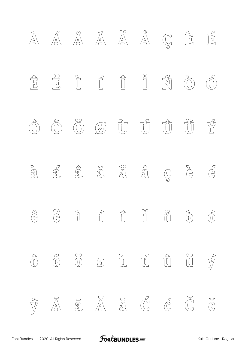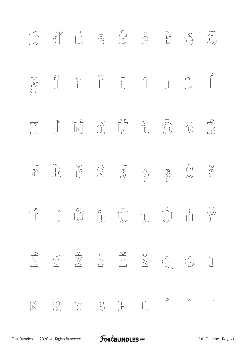|  |  |         | $\begin{array}{ccc} \mathbb{D} & \mathbb{E} & \mathbb{E} & \mathbb{E} & \mathbb{E} & \mathbb{E} & \mathbb{E} & \mathbb{E} & \mathbb{E} & \mathbb{E} & \mathbb{E} & \mathbb{E} & \mathbb{E} & \mathbb{E} & \mathbb{E} & \mathbb{E} & \mathbb{E} & \mathbb{E} & \mathbb{E} & \mathbb{E} & \mathbb{E} & \mathbb{E} & \mathbb{E} & \mathbb{E} & \mathbb{E} & \mathbb{E} & \mathbb{E} & \mathbb{E} & \mathbb{E} & \mathbb{E} & \mathbb$ |  |
|--|--|---------|------------------------------------------------------------------------------------------------------------------------------------------------------------------------------------------------------------------------------------------------------------------------------------------------------------------------------------------------------------------------------------------------------------------------------------|--|
|  |  |         |                                                                                                                                                                                                                                                                                                                                                                                                                                    |  |
|  |  |         | $\begin{array}{ccc} \boxed{V} & \boxed{V} & \boxed{V} & \boxed{0} & \boxed{N} & \boxed{0} & \boxed{0} & \boxed{N} \end{array}$                                                                                                                                                                                                                                                                                                     |  |
|  |  |         |                                                                                                                                                                                                                                                                                                                                                                                                                                    |  |
|  |  |         |                                                                                                                                                                                                                                                                                                                                                                                                                                    |  |
|  |  |         | $\overline{Z}$ $\overline{Z}$ $\overline{Z}$ $\overline{Z}$ $\overline{Z}$ $\overline{Z}$ $\mathbb{Q}$ $\mathbb{G}$ I                                                                                                                                                                                                                                                                                                              |  |
|  |  | NRY BHL |                                                                                                                                                                                                                                                                                                                                                                                                                                    |  |